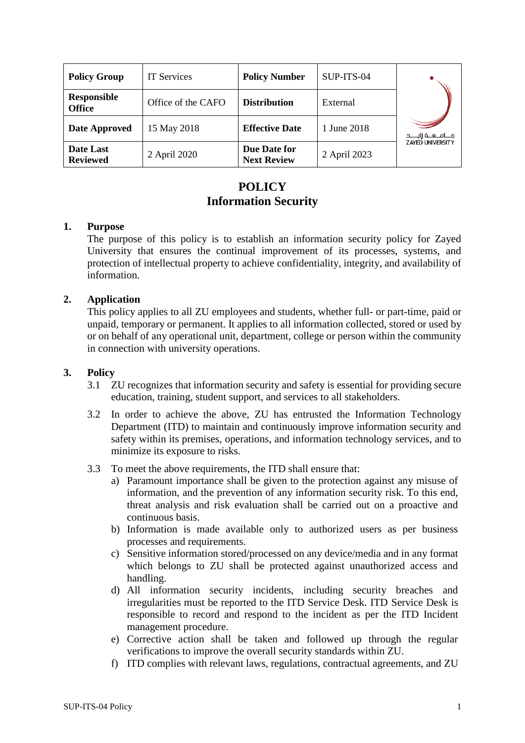| <b>Policy Group</b>                 | <b>IT Services</b> | <b>Policy Number</b>               | SUP-ITS-04   |                         |
|-------------------------------------|--------------------|------------------------------------|--------------|-------------------------|
| <b>Responsible</b><br><b>Office</b> | Office of the CAFO | <b>Distribution</b>                | External     |                         |
| Date Approved                       | 15 May 2018        | <b>Effective Date</b>              | 1 June 2018  | جـــامــعــة زايــــد   |
| Date Last<br><b>Reviewed</b>        | 2 April 2020       | Due Date for<br><b>Next Review</b> | 2 April 2023 | <b>ZAYED UNIVERSITY</b> |

# **POLICY Information Security**

#### **1. Purpose**

The purpose of this policy is to establish an information security policy for Zayed University that ensures the continual improvement of its processes, systems, and protection of intellectual property to achieve confidentiality, integrity, and availability of information.

### **2. Application**

This policy applies to all ZU employees and students, whether full- or part-time, paid or unpaid, temporary or permanent. It applies to all information collected, stored or used by or on behalf of any operational unit, department, college or person within the community in connection with university operations.

#### **3. Policy**

- 3.1 ZU recognizes that information security and safety is essential for providing secure education, training, student support, and services to all stakeholders.
- 3.2 In order to achieve the above, ZU has entrusted the Information Technology Department (ITD) to maintain and continuously improve information security and safety within its premises, operations, and information technology services, and to minimize its exposure to risks.
- 3.3 To meet the above requirements, the ITD shall ensure that:
	- a) Paramount importance shall be given to the protection against any misuse of information, and the prevention of any information security risk. To this end, threat analysis and risk evaluation shall be carried out on a proactive and continuous basis.
	- b) Information is made available only to authorized users as per business processes and requirements.
	- c) Sensitive information stored/processed on any device/media and in any format which belongs to ZU shall be protected against unauthorized access and handling.
	- d) All information security incidents, including security breaches and irregularities must be reported to the ITD Service Desk. ITD Service Desk is responsible to record and respond to the incident as per the ITD Incident management procedure.
	- e) Corrective action shall be taken and followed up through the regular verifications to improve the overall security standards within ZU.
	- f) ITD complies with relevant laws, regulations, contractual agreements, and ZU